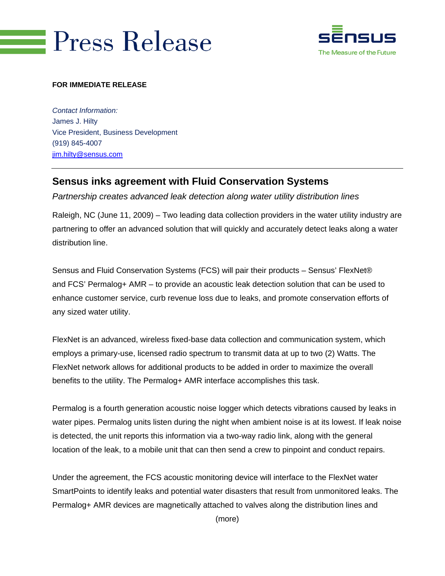# **Press Release**



#### **FOR IMMEDIATE RELEASE**

*Contact Information:*  James J. Hilty Vice President, Business Development (919) 845-4007 jim.hilty@sensus.com

## **Sensus inks agreement with Fluid Conservation Systems**

*Partnership creates advanced leak detection along water utility distribution lines* 

Raleigh, NC (June 11, 2009) – Two leading data collection providers in the water utility industry are partnering to offer an advanced solution that will quickly and accurately detect leaks along a water distribution line.

Sensus and Fluid Conservation Systems (FCS) will pair their products – Sensus' FlexNet® and FCS' Permalog+ AMR – to provide an acoustic leak detection solution that can be used to enhance customer service, curb revenue loss due to leaks, and promote conservation efforts of any sized water utility.

FlexNet is an advanced, wireless fixed-base data collection and communication system, which employs a primary-use, licensed radio spectrum to transmit data at up to two (2) Watts. The FlexNet network allows for additional products to be added in order to maximize the overall benefits to the utility. The Permalog+ AMR interface accomplishes this task.

Permalog is a fourth generation acoustic noise logger which detects vibrations caused by leaks in water pipes. Permalog units listen during the night when ambient noise is at its lowest. If leak noise is detected, the unit reports this information via a two-way radio link, along with the general location of the leak, to a mobile unit that can then send a crew to pinpoint and conduct repairs.

Under the agreement, the FCS acoustic monitoring device will interface to the FlexNet water SmartPoints to identify leaks and potential water disasters that result from unmonitored leaks. The Permalog+ AMR devices are magnetically attached to valves along the distribution lines and

(more)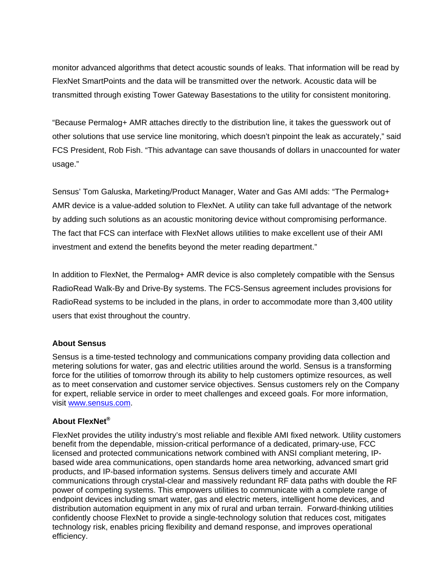monitor advanced algorithms that detect acoustic sounds of leaks. That information will be read by FlexNet SmartPoints and the data will be transmitted over the network. Acoustic data will be transmitted through existing Tower Gateway Basestations to the utility for consistent monitoring.

"Because Permalog+ AMR attaches directly to the distribution line, it takes the guesswork out of other solutions that use service line monitoring, which doesn't pinpoint the leak as accurately," said FCS President, Rob Fish. "This advantage can save thousands of dollars in unaccounted for water usage."

Sensus' Tom Galuska, Marketing/Product Manager, Water and Gas AMI adds: "The Permalog+ AMR device is a value-added solution to FlexNet. A utility can take full advantage of the network by adding such solutions as an acoustic monitoring device without compromising performance. The fact that FCS can interface with FlexNet allows utilities to make excellent use of their AMI investment and extend the benefits beyond the meter reading department."

In addition to FlexNet, the Permalog+ AMR device is also completely compatible with the Sensus RadioRead Walk-By and Drive-By systems. The FCS-Sensus agreement includes provisions for RadioRead systems to be included in the plans, in order to accommodate more than 3,400 utility users that exist throughout the country.

#### **About Sensus**

Sensus is a time-tested technology and communications company providing data collection and metering solutions for water, gas and electric utilities around the world. Sensus is a transforming force for the utilities of tomorrow through its ability to help customers optimize resources, as well as to meet conservation and customer service objectives. Sensus customers rely on the Company for expert, reliable service in order to meet challenges and exceed goals. For more information, visit www.sensus.com.

### **About FlexNet®**

FlexNet provides the utility industry's most reliable and flexible AMI fixed network. Utility customers benefit from the dependable, mission-critical performance of a dedicated, primary-use, FCC licensed and protected communications network combined with ANSI compliant metering, IPbased wide area communications, open standards home area networking, advanced smart grid products, and IP-based information systems. Sensus delivers timely and accurate AMI communications through crystal-clear and massively redundant RF data paths with double the RF power of competing systems. This empowers utilities to communicate with a complete range of endpoint devices including smart water, gas and electric meters, intelligent home devices, and distribution automation equipment in any mix of rural and urban terrain. Forward-thinking utilities confidently choose FlexNet to provide a single-technology solution that reduces cost, mitigates technology risk, enables pricing flexibility and demand response, and improves operational efficiency.